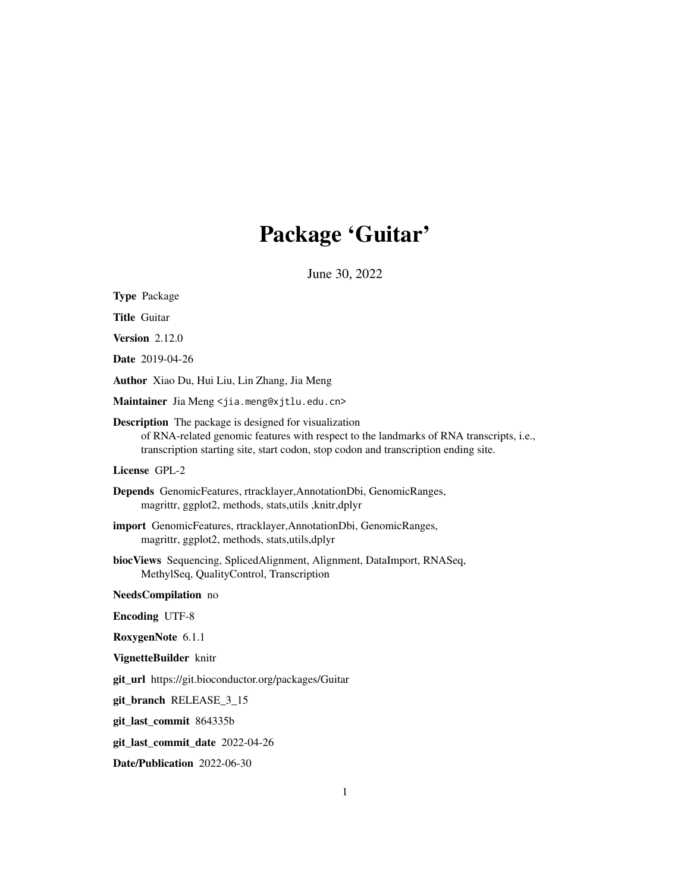## Package 'Guitar'

June 30, 2022

| <b>Type Package</b>                                                                                                                                                                                                                            |
|------------------------------------------------------------------------------------------------------------------------------------------------------------------------------------------------------------------------------------------------|
| <b>Title Guitar</b>                                                                                                                                                                                                                            |
| <b>Version 2.12.0</b>                                                                                                                                                                                                                          |
| Date 2019-04-26                                                                                                                                                                                                                                |
| Author Xiao Du, Hui Liu, Lin Zhang, Jia Meng                                                                                                                                                                                                   |
| Maintainer Jia Meng <jia.meng@xjtlu.edu.cn></jia.meng@xjtlu.edu.cn>                                                                                                                                                                            |
| <b>Description</b> The package is designed for visualization<br>of RNA-related genomic features with respect to the landmarks of RNA transcripts, i.e.,<br>transcription starting site, start codon, stop codon and transcription ending site. |
| License GPL-2                                                                                                                                                                                                                                  |
| Depends GenomicFeatures, rtracklayer, AnnotationDbi, GenomicRanges,<br>magrittr, ggplot2, methods, stats, utils, knitr, dplyr                                                                                                                  |
| import GenomicFeatures, rtracklayer, AnnotationDbi, GenomicRanges,<br>magrittr, ggplot2, methods, stats, utils, dplyr                                                                                                                          |
| biocViews Sequencing, SplicedAlignment, Alignment, DataImport, RNASeq,<br>MethylSeq, QualityControl, Transcription                                                                                                                             |
| NeedsCompilation no                                                                                                                                                                                                                            |
| <b>Encoding UTF-8</b>                                                                                                                                                                                                                          |
| RoxygenNote 6.1.1                                                                                                                                                                                                                              |
| VignetteBuilder knitr                                                                                                                                                                                                                          |
| git_url https://git.bioconductor.org/packages/Guitar                                                                                                                                                                                           |
| git_branch RELEASE_3_15                                                                                                                                                                                                                        |
| git_last_commit 864335b                                                                                                                                                                                                                        |
| git_last_commit_date 2022-04-26                                                                                                                                                                                                                |
| Date/Publication 2022-06-30                                                                                                                                                                                                                    |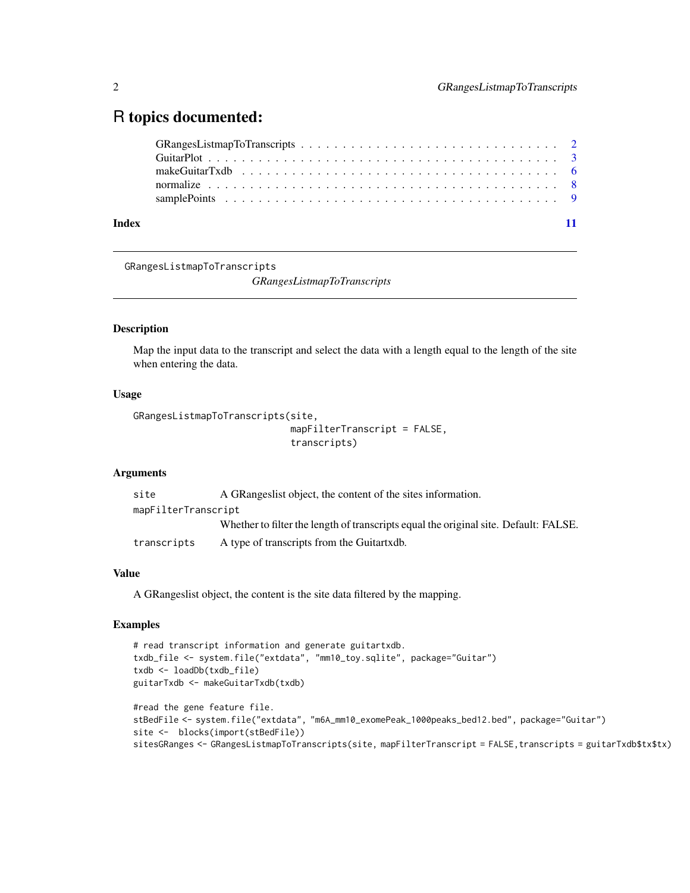## <span id="page-1-0"></span>R topics documented:

GRangesListmapToTranscripts

*GRangesListmapToTranscripts*

## Description

Map the input data to the transcript and select the data with a length equal to the length of the site when entering the data.

## Usage

```
GRangesListmapToTranscripts(site,
                            mapFilterTranscript = FALSE,
```

```
transcripts)
```
#### Arguments

| site                | A GRangeslist object, the content of the sites information.                          |
|---------------------|--------------------------------------------------------------------------------------|
| mapFilterTranscript |                                                                                      |
|                     | Whether to filter the length of transcripts equal the original site. Default: FALSE. |
| transcripts         | A type of transcripts from the Guitartxdb.                                           |

## Value

A GRangeslist object, the content is the site data filtered by the mapping.

```
# read transcript information and generate guitartxdb.
txdb_file <- system.file("extdata", "mm10_toy.sqlite", package="Guitar")
txdb <- loadDb(txdb_file)
guitarTxdb <- makeGuitarTxdb(txdb)
#read the gene feature file.
stBedFile <- system.file("extdata", "m6A_mm10_exomePeak_1000peaks_bed12.bed", package="Guitar")
site <- blocks(import(stBedFile))
sitesGRanges <- GRangesListmapToTranscripts(site, mapFilterTranscript = FALSE,transcripts = guitarTxdb$tx$tx)
```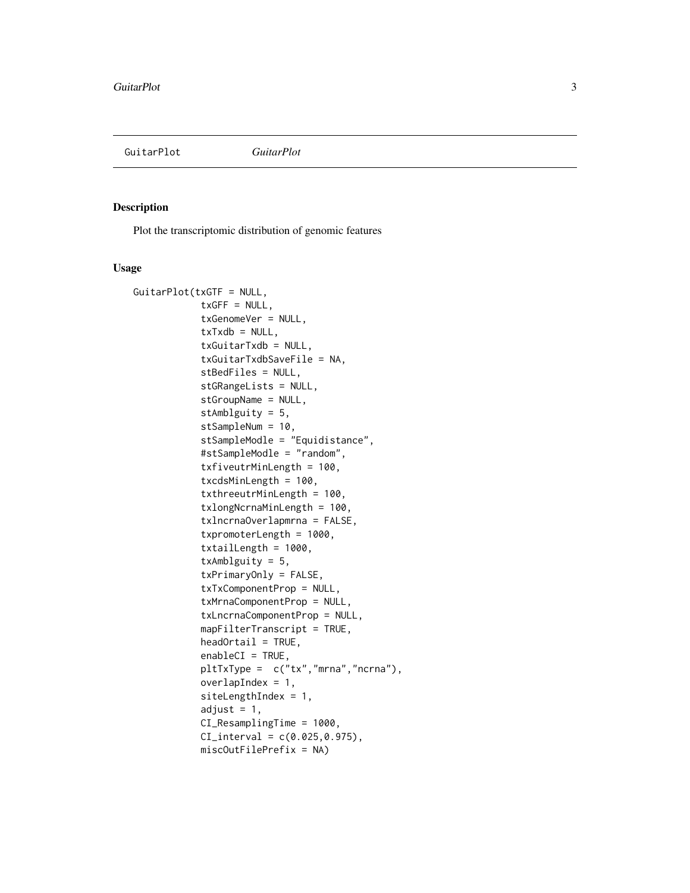<span id="page-2-0"></span>GuitarPlot *GuitarPlot*

#### Description

Plot the transcriptomic distribution of genomic features

#### Usage

```
GuitarPlot(txGTF = NULL,
            txGFF = NULL,txGenomeVer = NULL,
            txTxdb = NULL,txGuitarTxdb = NULL,
            txGuitarTxdbSaveFile = NA,
            stBedFiles = NULL,
            stGRangeLists = NULL,
            stGroupName = NULL,
            stAmblguity = 5,
            stSampleNum = 10,
            stSampleModle = "Equidistance",
            #stSampleModle = "random",
            txfiveutrMinLength = 100,
            txcdsMinLength = 100,
            txthreeutrMinLength = 100,
            txlongNcrnaMinLength = 100,
            txlncrnaOverlapmrna = FALSE,
            txpromoterLength = 1000,
            txtailLength = 1000,
            txAmblguity = 5,
            txPrimaryOnly = FALSE,
            txTxComponentProp = NULL,
            txMrnaComponentProp = NULL,
            txLncrnaComponentProp = NULL,
            mapFilterTranscript = TRUE,
            headOrtail = TRUE,enableCI = TRUE,pltTxType = c("tx","mrna","ncrna"),
            overlapIndex = 1,
            siteLengthIndex = 1,
            adjust = 1,
            CI_ResamplingTime = 1000,
            CI_interval = c(0.025, 0.975),
            miscOutFilePrefix = NA)
```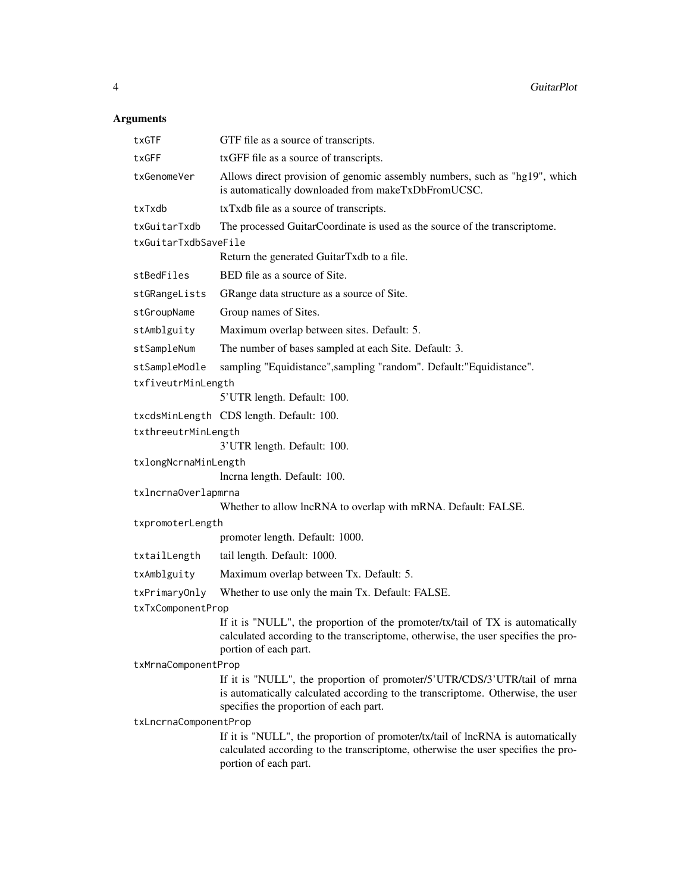## Arguments

| txGTF                 | GTF file as a source of transcripts.                                                                                                                                                                  |
|-----------------------|-------------------------------------------------------------------------------------------------------------------------------------------------------------------------------------------------------|
| txGFF                 | txGFF file as a source of transcripts.                                                                                                                                                                |
| txGenomeVer           | Allows direct provision of genomic assembly numbers, such as "hg19", which<br>is automatically downloaded from makeTxDbFromUCSC.                                                                      |
| txTxdb                | txTxdb file as a source of transcripts.                                                                                                                                                               |
| txGuitarTxdb          | The processed GuitarCoordinate is used as the source of the transcriptome.                                                                                                                            |
| txGuitarTxdbSaveFile  |                                                                                                                                                                                                       |
|                       | Return the generated GuitarTxdb to a file.                                                                                                                                                            |
| stBedFiles            | BED file as a source of Site.                                                                                                                                                                         |
| stGRangeLists         | GRange data structure as a source of Site.                                                                                                                                                            |
| stGroupName           | Group names of Sites.                                                                                                                                                                                 |
| stAmblguity           | Maximum overlap between sites. Default: 5.                                                                                                                                                            |
| stSampleNum           | The number of bases sampled at each Site. Default: 3.                                                                                                                                                 |
| stSampleModle         | sampling "Equidistance", sampling "random". Default: "Equidistance".                                                                                                                                  |
| txfiveutrMinLength    |                                                                                                                                                                                                       |
|                       | 5'UTR length. Default: 100.                                                                                                                                                                           |
|                       | txcdsMinLength CDS length. Default: 100.                                                                                                                                                              |
| txthreeutrMinLength   |                                                                                                                                                                                                       |
|                       | 3' UTR length. Default: 100.                                                                                                                                                                          |
| txlongNcrnaMinLength  | lncrna length. Default: 100.                                                                                                                                                                          |
| txlncrnaOverlapmrna   |                                                                                                                                                                                                       |
|                       | Whether to allow lncRNA to overlap with mRNA. Default: FALSE.                                                                                                                                         |
| txpromoterLength      |                                                                                                                                                                                                       |
|                       | promoter length. Default: 1000.                                                                                                                                                                       |
| txtailLength          | tail length. Default: 1000.                                                                                                                                                                           |
| txAmblguity           | Maximum overlap between Tx. Default: 5.                                                                                                                                                               |
| txPrimaryOnly         | Whether to use only the main Tx. Default: FALSE.                                                                                                                                                      |
| txTxComponentProp     |                                                                                                                                                                                                       |
|                       | If it is "NULL", the proportion of the promoter/tx/tail of TX is automatically<br>calculated according to the transcriptome, otherwise, the user specifies the pro-<br>portion of each part.          |
| txMrnaComponentProp   |                                                                                                                                                                                                       |
|                       | If it is "NULL", the proportion of promoter/5'UTR/CDS/3'UTR/tail of mrna<br>is automatically calculated according to the transcriptome. Otherwise, the user<br>specifies the proportion of each part. |
| txLncrnaComponentProp | If it is "NULL", the proportion of promoter/tx/tail of lncRNA is automatically<br>calculated according to the transcriptome, otherwise the user specifies the pro-<br>portion of each part.           |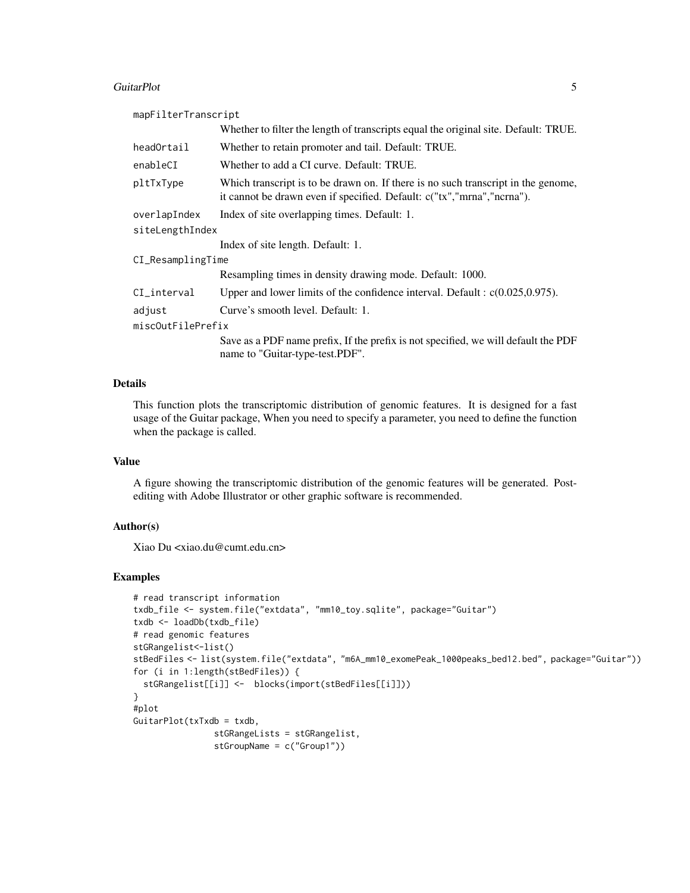#### GuitarPlot 5

| mapFilterTranscript                                                                                                                                         |
|-------------------------------------------------------------------------------------------------------------------------------------------------------------|
| Whether to filter the length of transcripts equal the original site. Default: TRUE.                                                                         |
| Whether to retain promoter and tail. Default: TRUE.                                                                                                         |
| Whether to add a CI curve. Default: TRUE.                                                                                                                   |
| Which transcript is to be drawn on. If there is no such transcript in the genome,<br>it cannot be drawn even if specified. Default: c("tx","mrna","ncrna"). |
| Index of site overlapping times. Default: 1.                                                                                                                |
| siteLengthIndex                                                                                                                                             |
| Index of site length. Default: 1.                                                                                                                           |
| CI_ResamplingTime                                                                                                                                           |
| Resampling times in density drawing mode. Default: 1000.                                                                                                    |
| Upper and lower limits of the confidence interval. Default : $c(0.025, 0.975)$ .                                                                            |
| Curve's smooth level. Default: 1.                                                                                                                           |
| miscOutFilePrefix                                                                                                                                           |
| Save as a PDF name prefix, If the prefix is not specified, we will default the PDF<br>name to "Guitar-type-test.PDF".                                       |
|                                                                                                                                                             |

## Details

This function plots the transcriptomic distribution of genomic features. It is designed for a fast usage of the Guitar package, When you need to specify a parameter, you need to define the function when the package is called.

## Value

A figure showing the transcriptomic distribution of the genomic features will be generated. Postediting with Adobe Illustrator or other graphic software is recommended.

#### Author(s)

Xiao Du <xiao.du@cumt.edu.cn>

```
# read transcript information
txdb_file <- system.file("extdata", "mm10_toy.sqlite", package="Guitar")
txdb <- loadDb(txdb_file)
# read genomic features
stGRangelist<-list()
stBedFiles <- list(system.file("extdata", "m6A_mm10_exomePeak_1000peaks_bed12.bed", package="Guitar"))
for (i in 1:length(stBedFiles)) {
  stGRangelist[[i]] <- blocks(import(stBedFiles[[i]]))
}
#plot
GuitarPlot(txTxdb = txdb,
                stGRangeLists = stGRangelist,
                stGroupName = c("Group1"))
```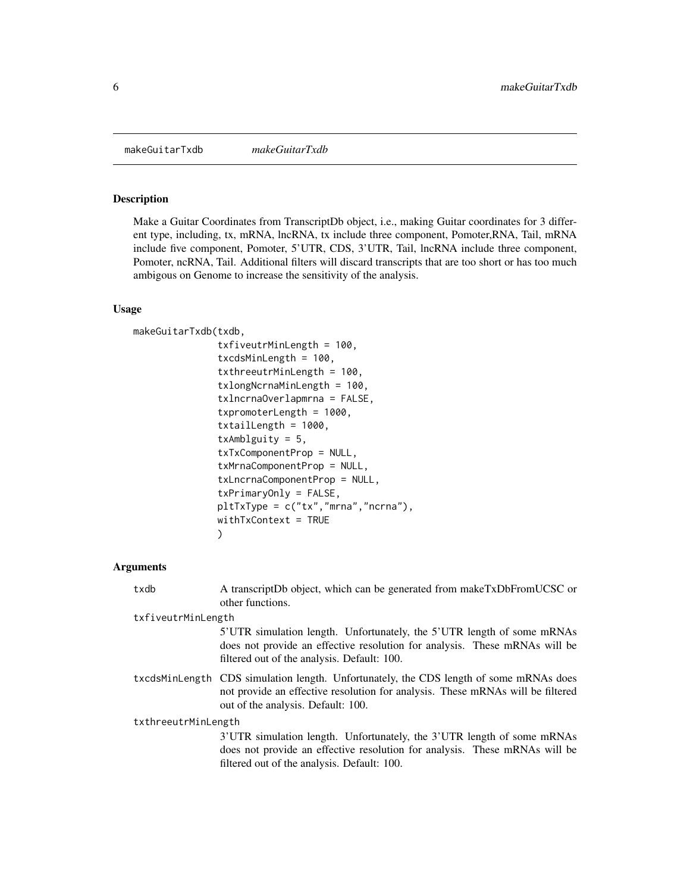<span id="page-5-0"></span>makeGuitarTxdb *makeGuitarTxdb*

## Description

Make a Guitar Coordinates from TranscriptDb object, i.e., making Guitar coordinates for 3 different type, including, tx, mRNA, lncRNA, tx include three component, Pomoter,RNA, Tail, mRNA include five component, Pomoter, 5'UTR, CDS, 3'UTR, Tail, lncRNA include three component, Pomoter, ncRNA, Tail. Additional filters will discard transcripts that are too short or has too much ambigous on Genome to increase the sensitivity of the analysis.

#### Usage

makeGuitarTxdb(txdb,

```
txfiveutrMinLength = 100,
txcdsMinLength = 100,
txthreeutrMinLength = 100,
txlongNcrnaMinLength = 100,
txlncrnaOverlapmrna = FALSE,
txpromoterLength = 1000,
txtailLength = 1000,
txAmblguity = 5,
txTxComponentProp = NULL,
txMrnaComponentProp = NULL,
txLncrnaComponentProp = NULL,
txPrimaryOnly = FALSE,
pltTxType = c("tx","mrna","ncrna"),
withTxContext = TRUE
)
```
#### Arguments

| txdb                | A transcriptDb object, which can be generated from makeTxDbFromUCSC or<br>other functions.                                                                                                                     |
|---------------------|----------------------------------------------------------------------------------------------------------------------------------------------------------------------------------------------------------------|
| txfiveutrMinLength  |                                                                                                                                                                                                                |
|                     | 5'UTR simulation length. Unfortunately, the 5'UTR length of some mRNAs<br>does not provide an effective resolution for analysis. These mRNAs will be<br>filtered out of the analysis. Default: 100.            |
|                     | txcdsMinLength CDS simulation length. Unfortunately, the CDS length of some mRNAs does<br>not provide an effective resolution for analysis. These mRNAs will be filtered<br>out of the analysis. Default: 100. |
| txthreeutrMinLength |                                                                                                                                                                                                                |
|                     | 3'UTR simulation length. Unfortunately, the 3'UTR length of some mRNAs<br>does not provide an effective resolution for analysis. These mRNAs will be<br>filtered out of the analysis. Default: 100.            |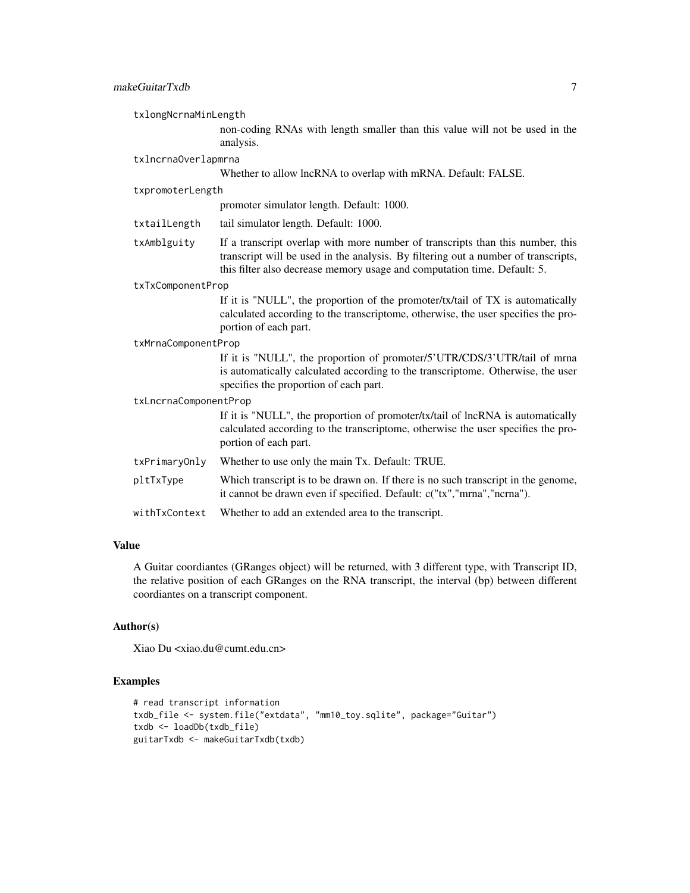txlongNcrnaMinLength

non-coding RNAs with length smaller than this value will not be used in the analysis.

txlncrnaOverlapmrna

Whether to allow lncRNA to overlap with mRNA. Default: FALSE.

#### txpromoterLength

promoter simulator length. Default: 1000.

- txtailLength tail simulator length. Default: 1000.
- txAmblguity If a transcript overlap with more number of transcripts than this number, this transcript will be used in the analysis. By filtering out a number of transcripts, this filter also decrease memory usage and computation time. Default: 5.

#### txTxComponentProp

If it is "NULL", the proportion of the promoter/tx/tail of TX is automatically calculated according to the transcriptome, otherwise, the user specifies the proportion of each part.

#### txMrnaComponentProp

If it is "NULL", the proportion of promoter/5'UTR/CDS/3'UTR/tail of mrna is automatically calculated according to the transcriptome. Otherwise, the user specifies the proportion of each part.

txLncrnaComponentProp

If it is "NULL", the proportion of promoter/tx/tail of lncRNA is automatically calculated according to the transcriptome, otherwise the user specifies the proportion of each part.

- txPrimaryOnly Whether to use only the main Tx. Default: TRUE.
- pltTxType Which transcript is to be drawn on. If there is no such transcript in the genome, it cannot be drawn even if specified. Default: c("tx","mrna","ncrna").
- withTxContext Whether to add an extended area to the transcript.

## Value

A Guitar coordiantes (GRanges object) will be returned, with 3 different type, with Transcript ID, the relative position of each GRanges on the RNA transcript, the interval (bp) between different coordiantes on a transcript component.

## Author(s)

Xiao Du <xiao.du@cumt.edu.cn>

```
# read transcript information
txdb_file <- system.file("extdata", "mm10_toy.sqlite", package="Guitar")
txdb <- loadDb(txdb_file)
guitarTxdb <- makeGuitarTxdb(txdb)
```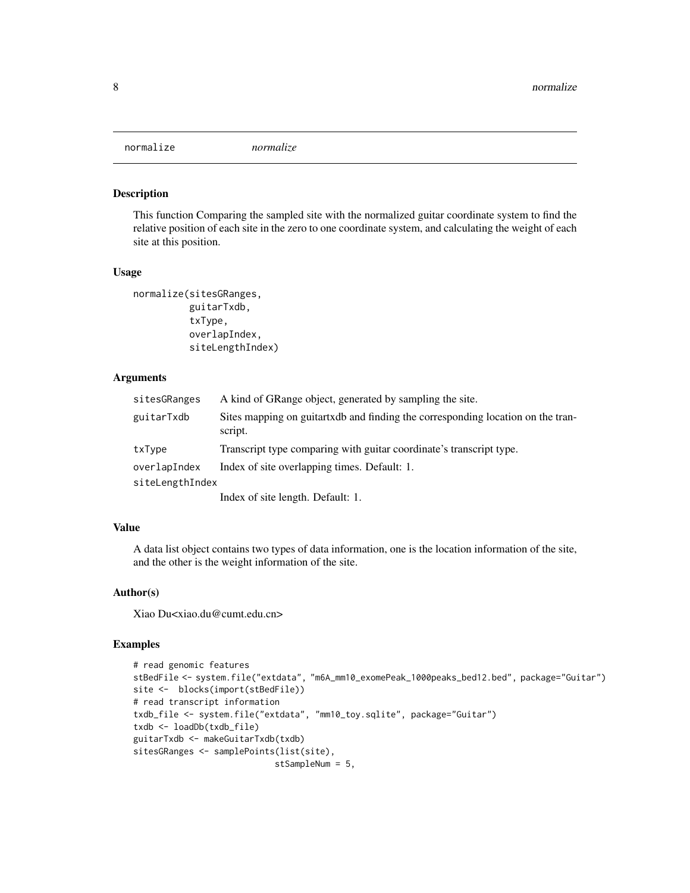<span id="page-7-0"></span>

#### Description

This function Comparing the sampled site with the normalized guitar coordinate system to find the relative position of each site in the zero to one coordinate system, and calculating the weight of each site at this position.

#### Usage

```
normalize(sitesGRanges,
          guitarTxdb,
          txType,
          overlapIndex,
          siteLengthIndex)
```
## Arguments

| sitesGRanges    | A kind of GRange object, generated by sampling the site.                                   |
|-----------------|--------------------------------------------------------------------------------------------|
| guitarTxdb      | Sites mapping on guitartxdb and finding the corresponding location on the tran-<br>script. |
| txType          | Transcript type comparing with guitar coordinate's transcript type.                        |
| overlapIndex    | Index of site overlapping times. Default: 1.                                               |
| siteLengthIndex |                                                                                            |
|                 | Index of site length. Default: 1.                                                          |

## Value

A data list object contains two types of data information, one is the location information of the site, and the other is the weight information of the site.

#### Author(s)

Xiao Du<xiao.du@cumt.edu.cn>

```
# read genomic features
stBedFile <- system.file("extdata", "m6A_mm10_exomePeak_1000peaks_bed12.bed", package="Guitar")
site <- blocks(import(stBedFile))
# read transcript information
txdb_file <- system.file("extdata", "mm10_toy.sqlite", package="Guitar")
txdb <- loadDb(txdb_file)
guitarTxdb <- makeGuitarTxdb(txdb)
sitesGRanges <- samplePoints(list(site),
                            stSampleNum = 5,
```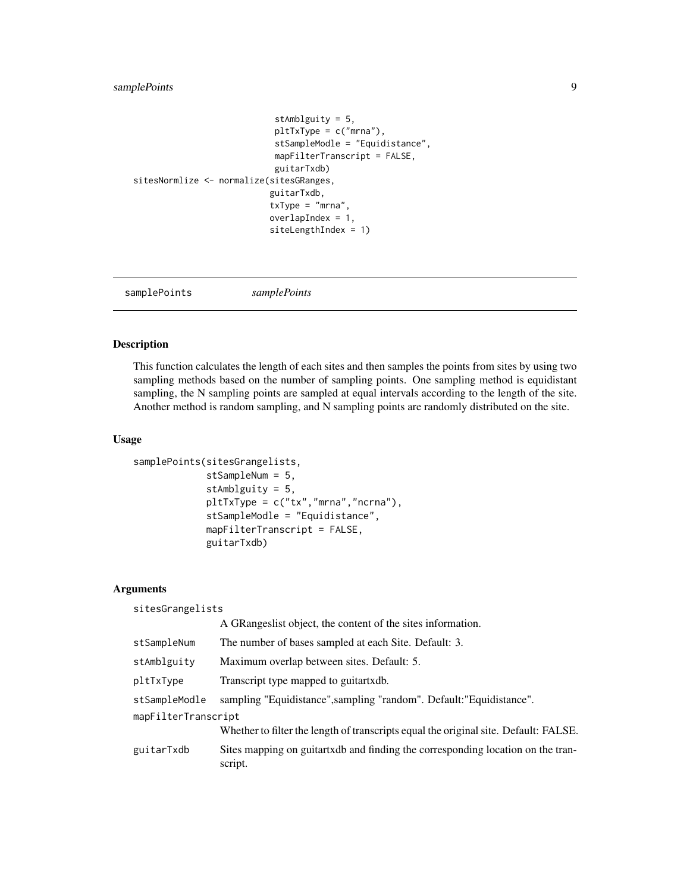## <span id="page-8-0"></span>samplePoints 9

```
stAmblguity = 5,
                            pltTxType = c("mrna"),
                            stSampleModle = "Equidistance",
                            mapFilterTranscript = FALSE,
                            guitarTxdb)
sitesNormlize <- normalize(sitesGRanges,
                           guitarTxdb,
                           txType = "mrna",
                           overlapIndex = 1,
                           siteLengthIndex = 1)
```
samplePoints *samplePoints*

## Description

This function calculates the length of each sites and then samples the points from sites by using two sampling methods based on the number of sampling points. One sampling method is equidistant sampling, the N sampling points are sampled at equal intervals according to the length of the site. Another method is random sampling, and N sampling points are randomly distributed on the site.

## Usage

```
samplePoints(sitesGrangelists,
             stSampleNum = 5,
             stAmblguity = 5,
             pltTxType = c("tx","mrna","ncrna"),
             stSampleModle = "Equidistance",
             mapFilterTranscript = FALSE,
             guitarTxdb)
```
#### Arguments

| sitesGrangelists    |                                                                                            |
|---------------------|--------------------------------------------------------------------------------------------|
|                     | A GRangeslist object, the content of the sites information.                                |
| stSampleNum         | The number of bases sampled at each Site. Default: 3.                                      |
| stAmblguity         | Maximum overlap between sites. Default: 5.                                                 |
| pltTxType           | Transcript type mapped to guitartxdb.                                                      |
| stSampleModle       | sampling "Equidistance", sampling "random". Default: "Equidistance".                       |
| mapFilterTranscript |                                                                                            |
|                     | Whether to filter the length of transcripts equal the original site. Default: FALSE.       |
| guitarTxdb          | Sites mapping on guitartxdb and finding the corresponding location on the tran-<br>script. |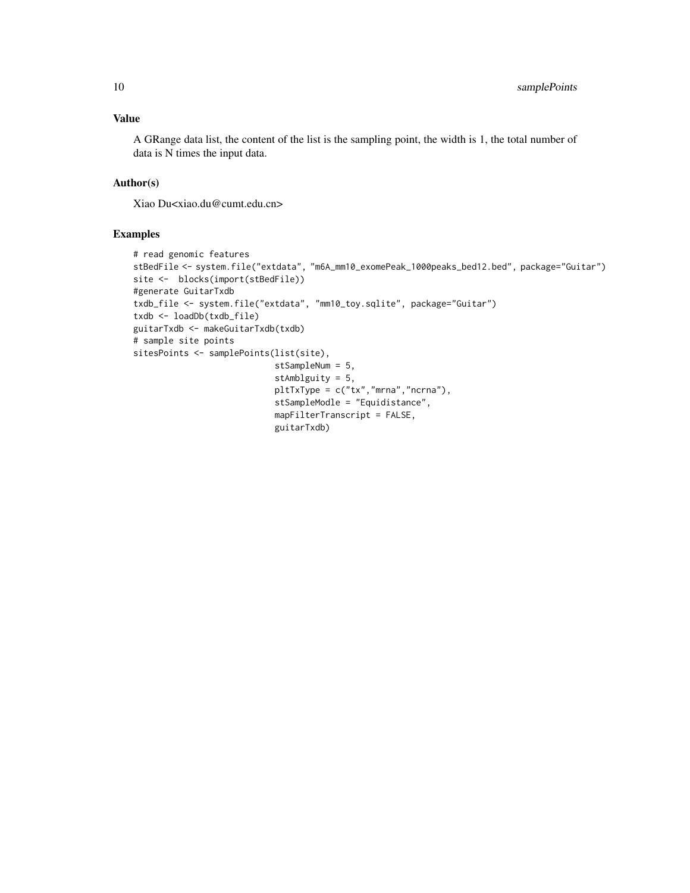## Value

A GRange data list, the content of the list is the sampling point, the width is 1, the total number of data is N times the input data.

## Author(s)

Xiao Du<xiao.du@cumt.edu.cn>

```
# read genomic features
stBedFile <- system.file("extdata", "m6A_mm10_exomePeak_1000peaks_bed12.bed", package="Guitar")
site <- blocks(import(stBedFile))
#generate GuitarTxdb
txdb_file <- system.file("extdata", "mm10_toy.sqlite", package="Guitar")
txdb <- loadDb(txdb_file)
guitarTxdb <- makeGuitarTxdb(txdb)
# sample site points
sitesPoints <- samplePoints(list(site),
                            stSampleNum = 5,
                            stAmblguity = 5,
                            pltTxType = c("tx","mrna","ncrna"),
                            stSampleModle = "Equidistance",
                            mapFilterTranscript = FALSE,
                            guitarTxdb)
```